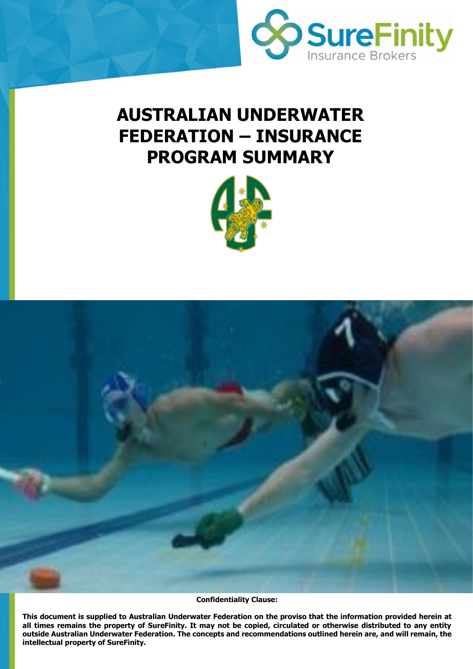

# **AUSTRALIAN UNDERWATER FEDERATION – INSURANCE PROGRAM SUMMARY**





**Confidentiality Clause:**

outside Australian Underwater Federation. The concepts and recommendations outlined herein are, and will remain, the **This document is supplied to Australian Underwater Federation on the proviso that the information provided herein at all times remains the property of SureFinity. It may not be copied, circulated or otherwise distributed to any entity intellectual property of SureFinity.**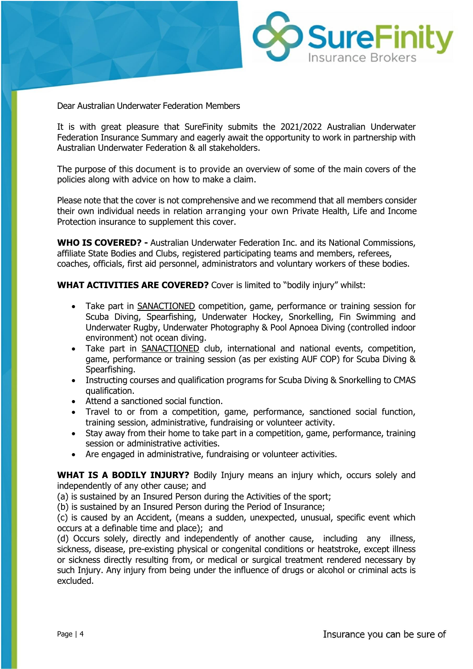

Dear Australian Underwater Federation Members

It is with great pleasure that SureFinity submits the 2021/2022 Australian Underwater Federation Insurance Summary and eagerly await the opportunity to work in partnership with Australian Underwater Federation & all stakeholders.

The purpose of this document is to provide an overview of some of the main covers of the policies along with advice on how to make a claim.

Please note that the cover is not comprehensive and we recommend that all members consider their own individual needs in relation arranging your own Private Health, Life and Income Protection insurance to supplement this cover.

**WHO IS COVERED? -** Australian Underwater Federation Inc. and its National Commissions, affiliate State Bodies and Clubs, registered participating teams and members, referees, coaches, officials, first aid personnel, administrators and voluntary workers of these bodies.

**WHAT ACTIVITIES ARE COVERED?** Cover is limited to "bodily injury" whilst:

- Take part in SANACTIONED competition, game, performance or training session for Scuba Diving, Spearfishing, Underwater Hockey, Snorkelling, Fin Swimming and Underwater Rugby, Underwater Photography & Pool Apnoea Diving (controlled indoor environment) not ocean diving.
- Take part in SANACTIONED club, international and national events, competition, game, performance or training session (as per existing AUF COP) for Scuba Diving & Spearfishing.
- Instructing courses and qualification programs for Scuba Diving & Snorkelling to CMAS qualification.
- Attend a sanctioned social function.
- Travel to or from a competition, game, performance, sanctioned social function, training session, administrative, fundraising or volunteer activity.
- Stay away from their home to take part in a competition, game, performance, training session or administrative activities.
- Are engaged in administrative, fundraising or volunteer activities.

**WHAT IS A BODILY INJURY?** Bodily Injury means an injury which, occurs solely and independently of any other cause; and

(a) is sustained by an Insured Person during the Activities of the sport;

(b) is sustained by an Insured Person during the Period of Insurance;

(c) is caused by an Accident, (means a sudden, unexpected, unusual, specific event which occurs at a definable time and place); and

(d) Occurs solely, directly and independently of another cause, including any illness, sickness, disease, pre-existing physical or congenital conditions or heatstroke, except illness or sickness directly resulting from, or medical or surgical treatment rendered necessary by such Injury. Any injury from being under the influence of drugs or alcohol or criminal acts is excluded.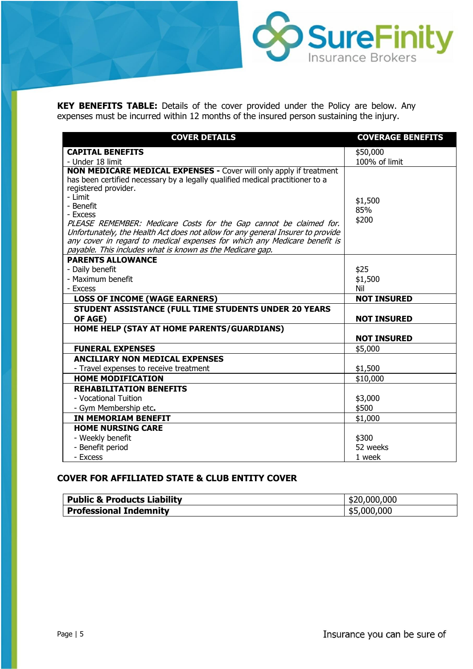**KEY BENEFITS TABLE:** Details of the cover provided under the Policy are below. Any expenses must be incurred within 12 months of the insured person sustaining the injury.

| <b>COVER DETAILS</b>                                                            | <b>COVERAGE BENEFITS</b> |
|---------------------------------------------------------------------------------|--------------------------|
| <b>CAPITAL BENEFITS</b>                                                         | \$50,000                 |
| - Under 18 limit                                                                | 100% of limit            |
| <b>NON MEDICARE MEDICAL EXPENSES - Cover will only apply if treatment</b>       |                          |
| has been certified necessary by a legally qualified medical practitioner to a   |                          |
| registered provider.                                                            |                          |
| - Limit<br>- Benefit                                                            | \$1,500                  |
| - Excess                                                                        | 85%                      |
| PLEASE REMEMBER: Medicare Costs for the Gap cannot be claimed for.              | \$200                    |
| Unfortunately, the Health Act does not allow for any general Insurer to provide |                          |
| any cover in regard to medical expenses for which any Medicare benefit is       |                          |
| payable. This includes what is known as the Medicare gap.                       |                          |
| <b>PARENTS ALLOWANCE</b>                                                        |                          |
| - Daily benefit                                                                 | \$25                     |
| - Maximum benefit                                                               | \$1,500                  |
| - Excess                                                                        | Nil                      |
| <b>LOSS OF INCOME (WAGE EARNERS)</b>                                            | <b>NOT INSURED</b>       |
| STUDENT ASSISTANCE (FULL TIME STUDENTS UNDER 20 YEARS                           |                          |
| OF AGE)                                                                         | <b>NOT INSURED</b>       |
| HOME HELP (STAY AT HOME PARENTS/GUARDIANS)                                      |                          |
|                                                                                 | <b>NOT INSURED</b>       |
| <b>FUNERAL EXPENSES</b>                                                         | \$5,000                  |
| <b>ANCILIARY NON MEDICAL EXPENSES</b>                                           |                          |
| - Travel expenses to receive treatment                                          | \$1,500                  |
| <b>HOME MODIFICATION</b>                                                        | \$10,000                 |
| <b>REHABILITATION BENEFITS</b>                                                  |                          |
| - Vocational Tuition                                                            | \$3,000                  |
| - Gym Membership etc.                                                           | \$500                    |
| <b>IN MEMORIAM BENEFIT</b>                                                      | \$1,000                  |
| <b>HOME NURSING CARE</b>                                                        |                          |
| - Weekly benefit                                                                | \$300                    |
| - Benefit period                                                                | 52 weeks                 |
| - Excess                                                                        | 1 week                   |

## **COVER FOR AFFILIATED STATE & CLUB ENTITY COVER**

| <sup>1</sup> Public & Products Liability | \$20,000,000     |
|------------------------------------------|------------------|
| <b>Professional Indemnity</b>            | ,000,000<br>-\$5 |

SureFinity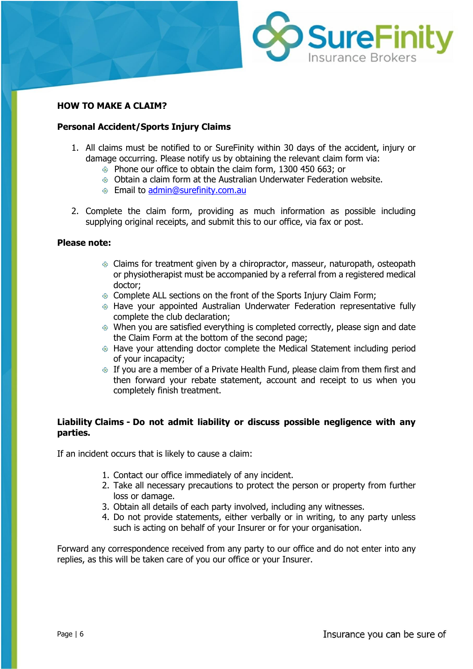

#### **HOW TO MAKE A CLAIM?**

#### **Personal Accident/Sports Injury Claims**

- 1. All claims must be notified to or SureFinity within 30 days of the accident, injury or damage occurring. Please notify us by obtaining the relevant claim form via:
	- Phone our office to obtain the claim form, 1300 450 663; or
	- Obtain a claim form at the Australian Underwater Federation website.
	- Email to [admin@surefinity.com.au](mailto:admin@surefinity.com.au)
- 2. Complete the claim form, providing as much information as possible including supplying original receipts, and submit this to our office, via fax or post.

#### **Please note:**

- Claims for treatment given by a chiropractor, masseur, naturopath, osteopath or physiotherapist must be accompanied by a referral from a registered medical doctor;
- Complete ALL sections on the front of the Sports Injury Claim Form;
- Have your appointed Australian Underwater Federation representative fully complete the club declaration;
- When you are satisfied everything is completed correctly, please sign and date the Claim Form at the bottom of the second page;
- Have your attending doctor complete the Medical Statement including period of your incapacity;
- If you are a member of a Private Health Fund, please claim from them first and then forward your rebate statement, account and receipt to us when you completely finish treatment.

### **Liability Claims - Do not admit liability or discuss possible negligence with any parties.**

If an incident occurs that is likely to cause a claim:

- 1. Contact our office immediately of any incident.
- 2. Take all necessary precautions to protect the person or property from further loss or damage.
- 3. Obtain all details of each party involved, including any witnesses.
- 4. Do not provide statements, either verbally or in writing, to any party unless such is acting on behalf of your Insurer or for your organisation.

Forward any correspondence received from any party to our office and do not enter into any replies, as this will be taken care of you our office or your Insurer.